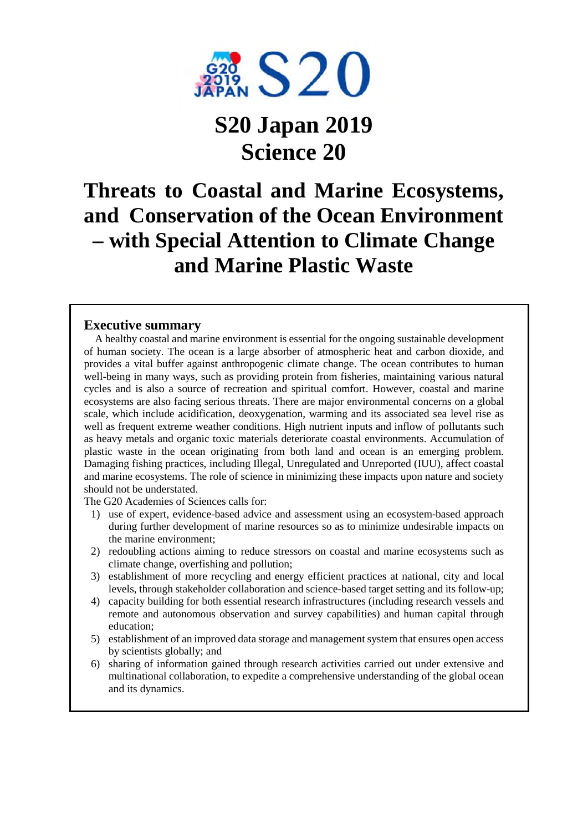

# **S20 Japan 2019 Science 20**

## **Threats to Coastal and Marine Ecosystems, and Conservation of the Ocean Environment – with Special Attention to Climate Change and Marine Plastic Waste**

### **Executive summary**

A healthy coastal and marine environment is essential for the ongoing sustainable development of human society. The ocean is a large absorber of atmospheric heat and carbon dioxide, and provides a vital buffer against anthropogenic climate change. The ocean contributes to human well-being in many ways, such as providing protein from fisheries, maintaining various natural cycles and is also a source of recreation and spiritual comfort. However, coastal and marine ecosystems are also facing serious threats. There are major environmental concerns on a global scale, which include acidification, deoxygenation, warming and its associated sea level rise as well as frequent extreme weather conditions. High nutrient inputs and inflow of pollutants such as heavy metals and organic toxic materials deteriorate coastal environments. Accumulation of plastic waste in the ocean originating from both land and ocean is an emerging problem. Damaging fishing practices, including Illegal, Unregulated and Unreported (IUU), affect coastal and marine ecosystems. The role of science in minimizing these impacts upon nature and society should not be understated.

The G20 Academies of Sciences calls for:

- 1) use of expert, evidence-based advice and assessment using an ecosystem-based approach during further development of marine resources so as to minimize undesirable impacts on the marine environment;
- 2) redoubling actions aiming to reduce stressors on coastal and marine ecosystems such as climate change, overfishing and pollution;
- 3) establishment of more recycling and energy efficient practices at national, city and local levels, through stakeholder collaboration and science-based target setting and its follow-up;
- 4) capacity building for both essential research infrastructures (including research vessels and remote and autonomous observation and survey capabilities) and human capital through education;
- 5) establishment of an improved data storage and management system that ensures open access by scientists globally; and
- 6) sharing of information gained through research activities carried out under extensive and multinational collaboration, to expedite a comprehensive understanding of the global ocean and its dynamics.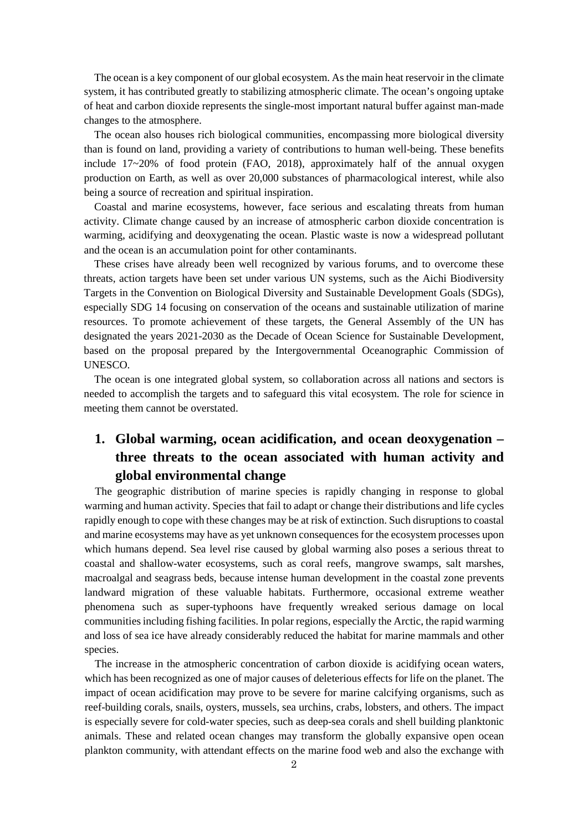The ocean is a key component of our global ecosystem. As the main heat reservoir in the climate system, it has contributed greatly to stabilizing atmospheric climate. The ocean's ongoing uptake of heat and carbon dioxide represents the single-most important natural buffer against man-made changes to the atmosphere.

The ocean also houses rich biological communities, encompassing more biological diversity than is found on land, providing a variety of contributions to human well-being. These benefits include 17~20% of food protein (FAO, 2018), approximately half of the annual oxygen production on Earth, as well as over 20,000 substances of pharmacological interest, while also being a source of recreation and spiritual inspiration.

Coastal and marine ecosystems, however, face serious and escalating threats from human activity. Climate change caused by an increase of atmospheric carbon dioxide concentration is warming, acidifying and deoxygenating the ocean. Plastic waste is now a widespread pollutant and the ocean is an accumulation point for other contaminants.

These crises have already been well recognized by various forums, and to overcome these threats, action targets have been set under various UN systems, such as the Aichi Biodiversity Targets in the Convention on Biological Diversity and Sustainable Development Goals (SDGs), especially SDG 14 focusing on conservation of the oceans and sustainable utilization of marine resources. To promote achievement of these targets, the General Assembly of the UN has designated the years 2021-2030 as the Decade of Ocean Science for Sustainable Development, based on the proposal prepared by the Intergovernmental Oceanographic Commission of UNESCO.

The ocean is one integrated global system, so collaboration across all nations and sectors is needed to accomplish the targets and to safeguard this vital ecosystem. The role for science in meeting them cannot be overstated.

## **1. Global warming, ocean acidification, and ocean deoxygenation – three threats to the ocean associated with human activity and global environmental change**

The geographic distribution of marine species is rapidly changing in response to global warming and human activity. Species that fail to adapt or change their distributions and life cycles rapidly enough to cope with these changes may be at risk of extinction. Such disruptions to coastal and marine ecosystems may have as yet unknown consequences for the ecosystem processes upon which humans depend. Sea level rise caused by global warming also poses a serious threat to coastal and shallow-water ecosystems, such as coral reefs, mangrove swamps, salt marshes, macroalgal and seagrass beds, because intense human development in the coastal zone prevents landward migration of these valuable habitats. Furthermore, occasional extreme weather phenomena such as super-typhoons have frequently wreaked serious damage on local communities including fishing facilities. In polar regions, especially the Arctic, the rapid warming and loss of sea ice have already considerably reduced the habitat for marine mammals and other species.

The increase in the atmospheric concentration of carbon dioxide is acidifying ocean waters, which has been recognized as one of major causes of deleterious effects for life on the planet. The impact of ocean acidification may prove to be severe for marine calcifying organisms, such as reef-building corals, snails, oysters, mussels, sea urchins, crabs, lobsters, and others. The impact is especially severe for cold-water species, such as deep-sea corals and shell building planktonic animals. These and related ocean changes may transform the globally expansive open ocean plankton community, with attendant effects on the marine food web and also the exchange with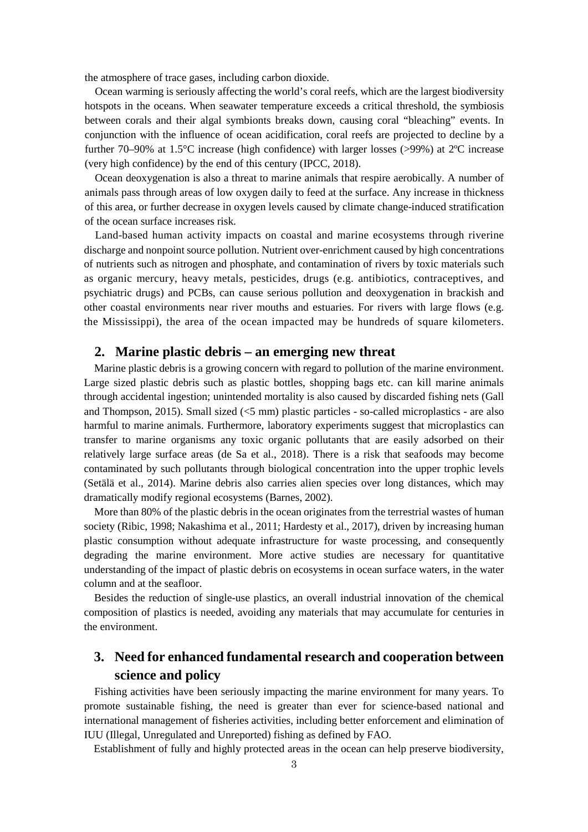the atmosphere of trace gases, including carbon dioxide.

Ocean warming is seriously affecting the world's coral reefs, which are the largest biodiversity hotspots in the oceans. When seawater temperature exceeds a critical threshold, the symbiosis between corals and their algal symbionts breaks down, causing coral "bleaching" events. In conjunction with the influence of ocean acidification, coral reefs are projected to decline by a further 70–90% at 1.5°C increase (high confidence) with larger losses (>99%) at 2ºC increase (very high confidence) by the end of this century (IPCC, 2018).

Ocean deoxygenation is also a threat to marine animals that respire aerobically. A number of animals pass through areas of low oxygen daily to feed at the surface. Any increase in thickness of this area, or further decrease in oxygen levels caused by climate change-induced stratification of the ocean surface increases risk.

Land-based human activity impacts on coastal and marine ecosystems through riverine discharge and nonpoint source pollution. Nutrient over-enrichment caused by high concentrations of nutrients such as nitrogen and phosphate, and contamination of rivers by toxic materials such as organic mercury, heavy metals, pesticides, drugs (e.g. antibiotics, contraceptives, and psychiatric drugs) and PCBs, can cause serious pollution and deoxygenation in brackish and other coastal environments near river mouths and estuaries. For rivers with large flows (e.g. the Mississippi), the area of the ocean impacted may be hundreds of square kilometers.

### **2. Marine plastic debris – an emerging new threat**

Marine plastic debris is a growing concern with regard to pollution of the marine environment. Large sized plastic debris such as plastic bottles, shopping bags etc. can kill marine animals through accidental ingestion; unintended mortality is also caused by discarded fishing nets (Gall and Thompson, 2015). Small sized (<5 mm) plastic particles - so-called microplastics - are also harmful to marine animals. Furthermore, laboratory experiments suggest that microplastics can transfer to marine organisms any toxic organic pollutants that are easily adsorbed on their relatively large surface areas (de Sa et al., 2018). There is a risk that seafoods may become contaminated by such pollutants through biological concentration into the upper trophic levels (Setälä et al., 2014). Marine debris also carries alien species over long distances, which may dramatically modify regional ecosystems (Barnes, 2002).

More than 80% of the plastic debris in the ocean originates from the terrestrial wastes of human society (Ribic, 1998; Nakashima et al., 2011; Hardesty et al., 2017), driven by increasing human plastic consumption without adequate infrastructure for waste processing, and consequently degrading the marine environment. More active studies are necessary for quantitative understanding of the impact of plastic debris on ecosystems in ocean surface waters, in the water column and at the seafloor.

Besides the reduction of single-use plastics, an overall industrial innovation of the chemical composition of plastics is needed, avoiding any materials that may accumulate for centuries in the environment.

## **3. Need for enhanced fundamental research and cooperation between science and policy**

Fishing activities have been seriously impacting the marine environment for many years. To promote sustainable fishing, the need is greater than ever for science-based national and international management of fisheries activities, including better enforcement and elimination of IUU (Illegal, Unregulated and Unreported) fishing as defined by FAO.

Establishment of fully and highly protected areas in the ocean can help preserve biodiversity,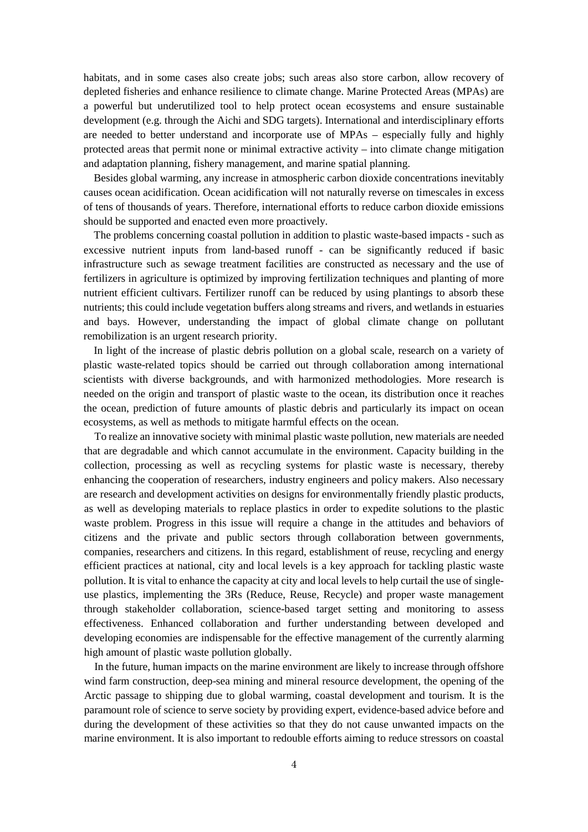habitats, and in some cases also create jobs; such areas also store carbon, allow recovery of depleted fisheries and enhance resilience to climate change. Marine Protected Areas (MPAs) are a powerful but underutilized tool to help protect ocean ecosystems and ensure sustainable development (e.g. through the Aichi and SDG targets). International and interdisciplinary efforts are needed to better understand and incorporate use of MPAs – especially fully and highly protected areas that permit none or minimal extractive activity – into climate change mitigation and adaptation planning, fishery management, and marine spatial planning.

Besides global warming, any increase in atmospheric carbon dioxide concentrations inevitably causes ocean acidification. Ocean acidification will not naturally reverse on timescales in excess of tens of thousands of years. Therefore, international efforts to reduce carbon dioxide emissions should be supported and enacted even more proactively.

The problems concerning coastal pollution in addition to plastic waste-based impacts - such as excessive nutrient inputs from land-based runoff - can be significantly reduced if basic infrastructure such as sewage treatment facilities are constructed as necessary and the use of fertilizers in agriculture is optimized by improving fertilization techniques and planting of more nutrient efficient cultivars. Fertilizer runoff can be reduced by using plantings to absorb these nutrients; this could include vegetation buffers along streams and rivers, and wetlands in estuaries and bays. However, understanding the impact of global climate change on pollutant remobilization is an urgent research priority.

In light of the increase of plastic debris pollution on a global scale, research on a variety of plastic waste-related topics should be carried out through collaboration among international scientists with diverse backgrounds, and with harmonized methodologies. More research is needed on the origin and transport of plastic waste to the ocean, its distribution once it reaches the ocean, prediction of future amounts of plastic debris and particularly its impact on ocean ecosystems, as well as methods to mitigate harmful effects on the ocean.

To realize an innovative society with minimal plastic waste pollution, new materials are needed that are degradable and which cannot accumulate in the environment. Capacity building in the collection, processing as well as recycling systems for plastic waste is necessary, thereby enhancing the cooperation of researchers, industry engineers and policy makers. Also necessary are research and development activities on designs for environmentally friendly plastic products, as well as developing materials to replace plastics in order to expedite solutions to the plastic waste problem. Progress in this issue will require a change in the attitudes and behaviors of citizens and the private and public sectors through collaboration between governments, companies, researchers and citizens. In this regard, establishment of reuse, recycling and energy efficient practices at national, city and local levels is a key approach for tackling plastic waste pollution. It is vital to enhance the capacity at city and local levels to help curtail the use of singleuse plastics, implementing the 3Rs (Reduce, Reuse, Recycle) and proper waste management through stakeholder collaboration, science-based target setting and monitoring to assess effectiveness. Enhanced collaboration and further understanding between developed and developing economies are indispensable for the effective management of the currently alarming high amount of plastic waste pollution globally.

In the future, human impacts on the marine environment are likely to increase through offshore wind farm construction, deep-sea mining and mineral resource development, the opening of the Arctic passage to shipping due to global warming, coastal development and tourism. It is the paramount role of science to serve society by providing expert, evidence-based advice before and during the development of these activities so that they do not cause unwanted impacts on the marine environment. It is also important to redouble efforts aiming to reduce stressors on coastal